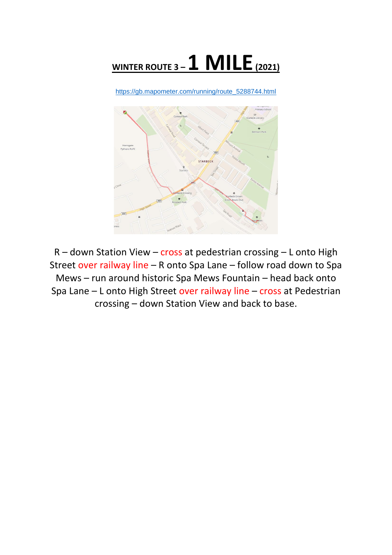

[https://gb.mapometer.com/running/route\\_5288744.html](https://gb.mapometer.com/running/route_5288744.html)



R – down Station View – cross at pedestrian crossing – L onto High Street over railway line – R onto Spa Lane – follow road down to Spa Mews – run around historic Spa Mews Fountain – head back onto Spa Lane – L onto High Street over railway line – cross at Pedestrian crossing – down Station View and back to base.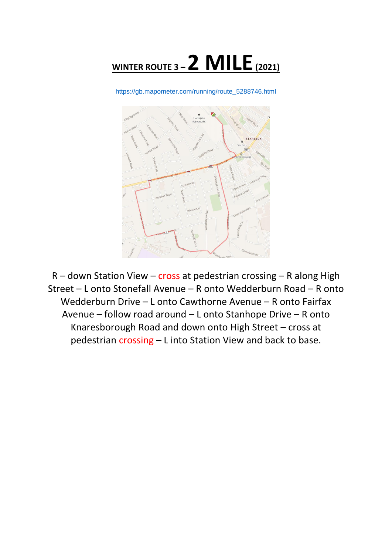

[https://gb.mapometer.com/running/route\\_5288746.html](https://gb.mapometer.com/running/route_5288746.html)



 $R$  – down Station View – cross at pedestrian crossing – R along High Street – L onto Stonefall Avenue – R onto Wedderburn Road – R onto Wedderburn Drive – L onto Cawthorne Avenue – R onto Fairfax Avenue – follow road around – L onto Stanhope Drive – R onto Knaresborough Road and down onto High Street – cross at pedestrian crossing – L into Station View and back to base.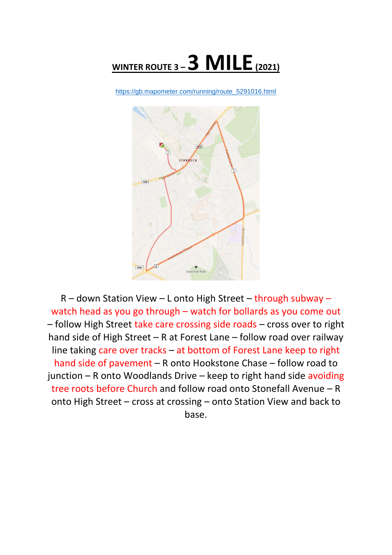

[https://gb.mapometer.com/running/route\\_5291016.html](https://gb.mapometer.com/running/route_5291016.html)



R – down Station View – L onto High Street – through subway – watch head as you go through – watch for bollards as you come out – follow High Street take care crossing side roads – cross over to right hand side of High Street – R at Forest Lane – follow road over railway line taking care over tracks – at bottom of Forest Lane keep to right hand side of pavement – R onto Hookstone Chase – follow road to junction – R onto Woodlands Drive – keep to right hand side avoiding tree roots before Church and follow road onto Stonefall Avenue – R onto High Street – cross at crossing – onto Station View and back to base.